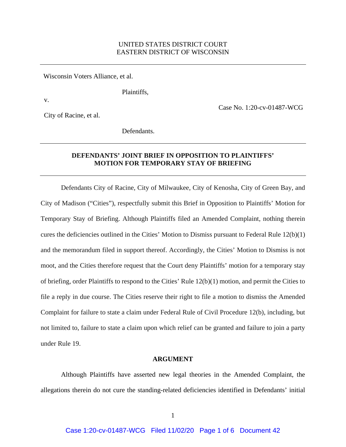# UNITED STATES DISTRICT COURT EASTERN DISTRICT OF WISCONSIN

Wisconsin Voters Alliance, et al.

v.

Plaintiffs,

Case No. 1:20-cv-01487-WCG

City of Racine, et al.

Defendants.

# **DEFENDANTS' JOINT BRIEF IN OPPOSITION TO PLAINTIFFS' MOTION FOR TEMPORARY STAY OF BRIEFING**

 Defendants City of Racine, City of Milwaukee, City of Kenosha, City of Green Bay, and City of Madison ("Cities"), respectfully submit this Brief in Opposition to Plaintiffs' Motion for Temporary Stay of Briefing. Although Plaintiffs filed an Amended Complaint, nothing therein cures the deficiencies outlined in the Cities' Motion to Dismiss pursuant to Federal Rule 12(b)(1) and the memorandum filed in support thereof. Accordingly, the Cities' Motion to Dismiss is not moot, and the Cities therefore request that the Court deny Plaintiffs' motion for a temporary stay of briefing, order Plaintiffs to respond to the Cities' Rule 12(b)(1) motion, and permit the Cities to file a reply in due course. The Cities reserve their right to file a motion to dismiss the Amended Complaint for failure to state a claim under Federal Rule of Civil Procedure 12(b), including, but not limited to, failure to state a claim upon which relief can be granted and failure to join a party under Rule 19.

#### **ARGUMENT**

Although Plaintiffs have asserted new legal theories in the Amended Complaint, the allegations therein do not cure the standing-related deficiencies identified in Defendants' initial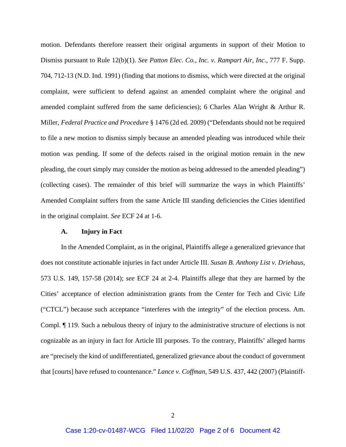motion. Defendants therefore reassert their original arguments in support of their Motion to Dismiss pursuant to Rule 12(b)(1). *See Patton Elec. Co., Inc. v. Rampart Air, Inc.*, 777 F. Supp. 704, 712-13 (N.D. Ind. 1991) (finding that motions to dismiss, which were directed at the original complaint, were sufficient to defend against an amended complaint where the original and amended complaint suffered from the same deficiencies); 6 Charles Alan Wright & Arthur R. Miller, *Federal Practice and Procedure* § 1476 (2d ed. 2009) ("Defendants should not be required to file a new motion to dismiss simply because an amended pleading was introduced while their motion was pending. If some of the defects raised in the original motion remain in the new pleading, the court simply may consider the motion as being addressed to the amended pleading") (collecting cases). The remainder of this brief will summarize the ways in which Plaintiffs' Amended Complaint suffers from the same Article III standing deficiencies the Cities identified in the original complaint. *See* ECF 24 at 1-6.

### **A. Injury in Fact**

In the Amended Complaint, as in the original, Plaintiffs allege a generalized grievance that does not constitute actionable injuries in fact under Article III. *Susan B. Anthony List v. Driehaus*, 573 U.S. 149, 157-58 (2014); *see* ECF 24 at 2-4. Plaintiffs allege that they are harmed by the Cities' acceptance of election administration grants from the Center for Tech and Civic Life ("CTCL") because such acceptance "interferes with the integrity" of the election process. Am. Compl. ¶ 119. Such a nebulous theory of injury to the administrative structure of elections is not cognizable as an injury in fact for Article III purposes. To the contrary, Plaintiffs' alleged harms are "precisely the kind of undifferentiated, generalized grievance about the conduct of government that [courts] have refused to countenance." *Lance v. Coffman*, 549 U.S. 437, 442 (2007) (Plaintiff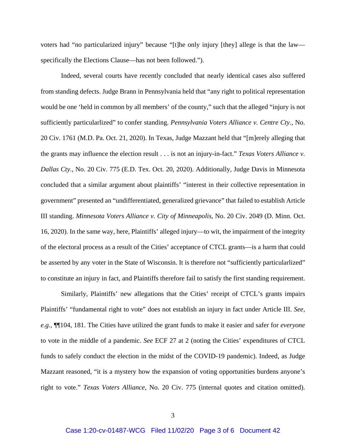voters had "no particularized injury" because "[t]he only injury [they] allege is that the law specifically the Elections Clause—has not been followed.").

Indeed, several courts have recently concluded that nearly identical cases also suffered from standing defects. Judge Brann in Pennsylvania held that "any right to political representation would be one 'held in common by all members' of the county," such that the alleged "injury is not sufficiently particularlized" to confer standing. *Pennsylvania Voters Alliance v. Centre Cty.*, No. 20 Civ. 1761 (M.D. Pa. Oct. 21, 2020). In Texas, Judge Mazzant held that "[m]erely alleging that the grants may influence the election result . . . is not an injury-in-fact." *Texas Voters Alliance v. Dallas Cty.*, No. 20 Civ. 775 (E.D. Tex. Oct. 20, 2020). Additionally, Judge Davis in Minnesota concluded that a similar argument about plaintiffs' "interest in their collective representation in government" presented an "undifferentiated, generalized grievance" that failed to establish Article III standing. *Minnesota Voters Alliance v. City of Minneapolis*, No. 20 Civ. 2049 (D. Minn. Oct. 16, 2020). In the same way, here, Plaintiffs' alleged injury—to wit, the impairment of the integrity of the electoral process as a result of the Cities' acceptance of CTCL grants—is a harm that could be asserted by any voter in the State of Wisconsin. It is therefore not "sufficiently particularlized" to constitute an injury in fact, and Plaintiffs therefore fail to satisfy the first standing requirement.

Similarly, Plaintiffs' new allegations that the Cities' receipt of CTCL's grants impairs Plaintiffs' "fundamental right to vote" does not establish an injury in fact under Article III. *See, e.g.*, ¶¶104, 181. The Cities have utilized the grant funds to make it easier and safer for *everyone*  to vote in the middle of a pandemic. *See* ECF 27 at 2 (noting the Cities' expenditures of CTCL funds to safely conduct the election in the midst of the COVID-19 pandemic). Indeed, as Judge Mazzant reasoned, "it is a mystery how the expansion of voting opportunities burdens anyone's right to vote." *Texas Voters Alliance*, No. 20 Civ. 775 (internal quotes and citation omitted).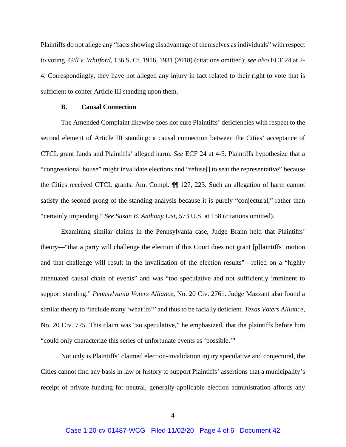Plaintiffs do not allege any "facts showing disadvantage of themselves as individuals" with respect to voting. *Gill v. Whitford*, 136 S. Ct. 1916, 1931 (2018) (citations omitted); *see also* ECF 24 at 2- 4. Correspondingly, they have not alleged any injury in fact related to their right to vote that is sufficient to confer Article III standing upon them.

## **B. Causal Connection**

The Amended Complaint likewise does not cure Plaintiffs' deficiencies with respect to the second element of Article III standing: a causal connection between the Cities' acceptance of CTCL grant funds and Plaintiffs' alleged harm. *See* ECF 24 at 4-5. Plaintiffs hypothesize that a "congressional house" might invalidate elections and "refuse[] to seat the representative" because the Cities received CTCL grants. Am. Compl. ¶¶ 127, 223. Such an allegation of harm cannot satisfy the second prong of the standing analysis because it is purely "conjectural," rather than "certainly impending." *See Susan B. Anthony List*, 573 U.S. at 158 (citations omitted).

Examining similar claims in the Pennsylvania case, Judge Brann held that Plaintiffs' theory—"that a party will challenge the election if this Court does not grant [p]laintiffs' motion and that challenge will result in the invalidation of the election results"—relied on a "highly attenuated causal chain of events" and was "too speculative and not sufficiently imminent to support standing." *Pennsylvania Voters Alliance*, No. 20 Civ. 2761. Judge Mazzant also found a similar theory to "include many 'what ifs'" and thus to be facially deficient. *Texas Voters Alliance*, No. 20 Civ. 775. This claim was "so speculative," he emphasized, that the plaintiffs before him "could only characterize this series of unfortunate events as 'possible.'"

Not only is Plaintiffs' claimed election-invalidation injury speculative and conjectural, the Cities cannot find any basis in law or history to support Plaintiffs' assertions that a municipality's receipt of private funding for neutral, generally-applicable election administration affords any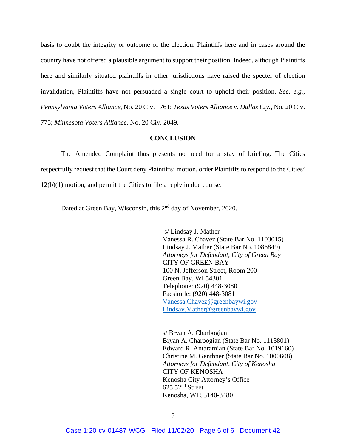basis to doubt the integrity or outcome of the election. Plaintiffs here and in cases around the country have not offered a plausible argument to support their position. Indeed, although Plaintiffs here and similarly situated plaintiffs in other jurisdictions have raised the specter of election invalidation, Plaintiffs have not persuaded a single court to uphold their position. *See, e.g.*, *Pennsylvania Voters Alliance*, No. 20 Civ. 1761; *Texas Voters Alliance v. Dallas Cty.*, No. 20 Civ. 775; *Minnesota Voters Alliance*, No. 20 Civ. 2049.

#### **CONCLUSION**

The Amended Complaint thus presents no need for a stay of briefing. The Cities respectfully request that the Court deny Plaintiffs' motion, order Plaintiffs to respond to the Cities' 12(b)(1) motion, and permit the Cities to file a reply in due course.

Dated at Green Bay, Wisconsin, this 2<sup>nd</sup> day of November, 2020.

 s/ Lindsay J. Mather Vanessa R. Chavez (State Bar No. 1103015) Lindsay J. Mather (State Bar No. 1086849) *Attorneys for Defendant, City of Green Bay* CITY OF GREEN BAY 100 N. Jefferson Street, Room 200 Green Bay, WI 54301 Telephone: (920) 448-3080 Facsimile: (920) 448-3081 Vanessa.Chavez@greenbaywi.gov Lindsay.Mather@greenbaywi.gov

 s/ Bryan A. Charbogian Bryan A. Charbogian (State Bar No. 1113801) Edward R. Antaramian (State Bar No. 1019160) Christine M. Genthner (State Bar No. 1000608) *Attorneys for Defendant, City of Kenosha* CITY OF KENOSHA Kenosha City Attorney's Office 625 52nd Street Kenosha, WI 53140-3480